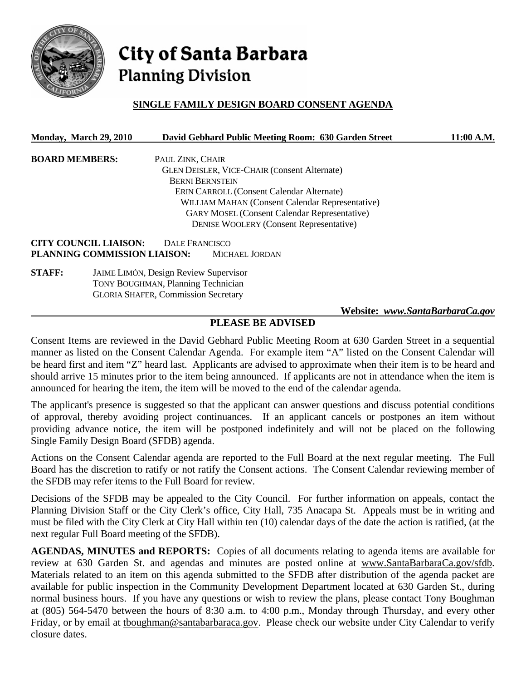

# City of Santa Barbara **Planning Division**

# **SINGLE FAMILY DESIGN BOARD CONSENT AGENDA**

| Monday, March 29, 2010 |                              |                                              | David Gebhard Public Meeting Room: 630 Garden Street | 11:00 A.M. |
|------------------------|------------------------------|----------------------------------------------|------------------------------------------------------|------------|
| <b>BOARD MEMBERS:</b>  |                              | PAUL ZINK, CHAIR                             |                                                      |            |
|                        |                              |                                              | <b>GLEN DEISLER, VICE-CHAIR (Consent Alternate)</b>  |            |
|                        |                              | <b>BERNI BERNSTEIN</b>                       |                                                      |            |
|                        |                              |                                              | <b>ERIN CARROLL (Consent Calendar Alternate)</b>     |            |
|                        |                              |                                              | WILLIAM MAHAN (Consent Calendar Representative)      |            |
|                        |                              |                                              | <b>GARY MOSEL (Consent Calendar Representative)</b>  |            |
|                        |                              |                                              | <b>DENISE WOOLERY (Consent Representative)</b>       |            |
|                        | <b>CITY COUNCIL LIAISON:</b> | DALE FRANCISCO                               |                                                      |            |
|                        | PLANNING COMMISSION LIAISON: |                                              | <b>MICHAEL JORDAN</b>                                |            |
| <b>STAFF:</b>          |                              | <b>JAIME LIMÓN, Design Review Supervisor</b> |                                                      |            |
|                        |                              | <b>TONY BOUGHMAN, Planning Technician</b>    |                                                      |            |
|                        |                              | <b>GLORIA SHAFER, Commission Secretary</b>   |                                                      |            |

## **Website:** *www.SantaBarbaraCa.gov*

## **PLEASE BE ADVISED**

Consent Items are reviewed in the David Gebhard Public Meeting Room at 630 Garden Street in a sequential manner as listed on the Consent Calendar Agenda. For example item "A" listed on the Consent Calendar will be heard first and item "Z" heard last. Applicants are advised to approximate when their item is to be heard and should arrive 15 minutes prior to the item being announced. If applicants are not in attendance when the item is announced for hearing the item, the item will be moved to the end of the calendar agenda.

The applicant's presence is suggested so that the applicant can answer questions and discuss potential conditions of approval, thereby avoiding project continuances. If an applicant cancels or postpones an item without providing advance notice, the item will be postponed indefinitely and will not be placed on the following Single Family Design Board (SFDB) agenda.

Actions on the Consent Calendar agenda are reported to the Full Board at the next regular meeting. The Full Board has the discretion to ratify or not ratify the Consent actions. The Consent Calendar reviewing member of the SFDB may refer items to the Full Board for review.

Decisions of the SFDB may be appealed to the City Council. For further information on appeals, contact the Planning Division Staff or the City Clerk's office, City Hall, 735 Anacapa St. Appeals must be in writing and must be filed with the City Clerk at City Hall within ten (10) calendar days of the date the action is ratified, (at the next regular Full Board meeting of the SFDB).

**AGENDAS, MINUTES and REPORTS:** Copies of all documents relating to agenda items are available for review at 630 Garden St. and agendas and minutes are posted online at www.SantaBarbaraCa.gov/sfdb. Materials related to an item on this agenda submitted to the SFDB after distribution of the agenda packet are available for public inspection in the Community Development Department located at 630 Garden St., during normal business hours. If you have any questions or wish to review the plans, please contact Tony Boughman at (805) 564-5470 between the hours of 8:30 a.m. to 4:00 p.m., Monday through Thursday, and every other Friday, or by email at tboughman@santabarbaraca.gov. Please check our website under City Calendar to verify closure dates.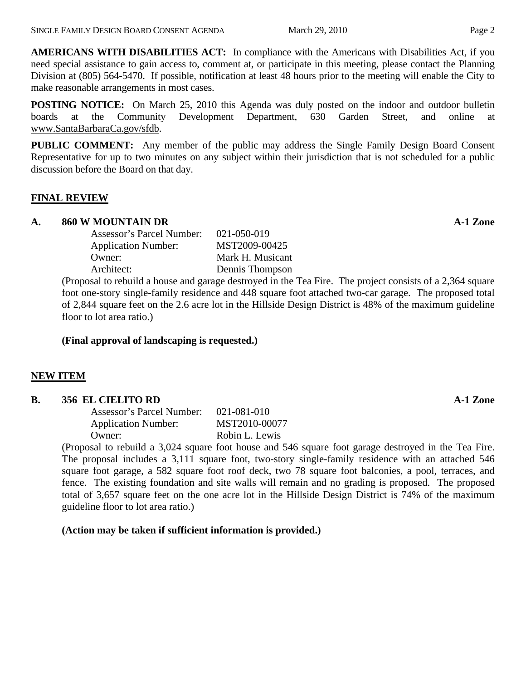**AMERICANS WITH DISABILITIES ACT:** In compliance with the Americans with Disabilities Act, if you need special assistance to gain access to, comment at, or participate in this meeting, please contact the Planning Division at (805) 564-5470. If possible, notification at least 48 hours prior to the meeting will enable the City to make reasonable arrangements in most cases.

**POSTING NOTICE:** On March 25, 2010 this Agenda was duly posted on the indoor and outdoor bulletin boards at the Community Development Department, 630 Garden Street, and online at www.SantaBarbaraCa.gov/sfdb.

**PUBLIC COMMENT:** Any member of the public may address the Single Family Design Board Consent Representative for up to two minutes on any subject within their jurisdiction that is not scheduled for a public discussion before the Board on that day.

#### **FINAL REVIEW**

#### **A. 860 W MOUNTAIN DR A-1 Zone**

 Assessor's Parcel Number: 021-050-019 Application Number: MST2009-00425 Owner: Mark H. Musicant Architect: Dennis Thompson

(Proposal to rebuild a house and garage destroyed in the Tea Fire. The project consists of a 2,364 square foot one-story single-family residence and 448 square foot attached two-car garage. The proposed total of 2,844 square feet on the 2.6 acre lot in the Hillside Design District is 48% of the maximum guideline floor to lot area ratio.)

## **(Final approval of landscaping is requested.)**

## **NEW ITEM**

#### **B.** 356 EL CIELITO RD **A-1 Zone A-1 Zone**

| 021-081-010    |
|----------------|
| MST2010-00077  |
| Robin L. Lewis |
|                |

(Proposal to rebuild a 3,024 square foot house and 546 square foot garage destroyed in the Tea Fire. The proposal includes a 3,111 square foot, two-story single-family residence with an attached 546 square foot garage, a 582 square foot roof deck, two 78 square foot balconies, a pool, terraces, and fence. The existing foundation and site walls will remain and no grading is proposed. The proposed total of 3,657 square feet on the one acre lot in the Hillside Design District is 74% of the maximum guideline floor to lot area ratio.)

**(Action may be taken if sufficient information is provided.)**